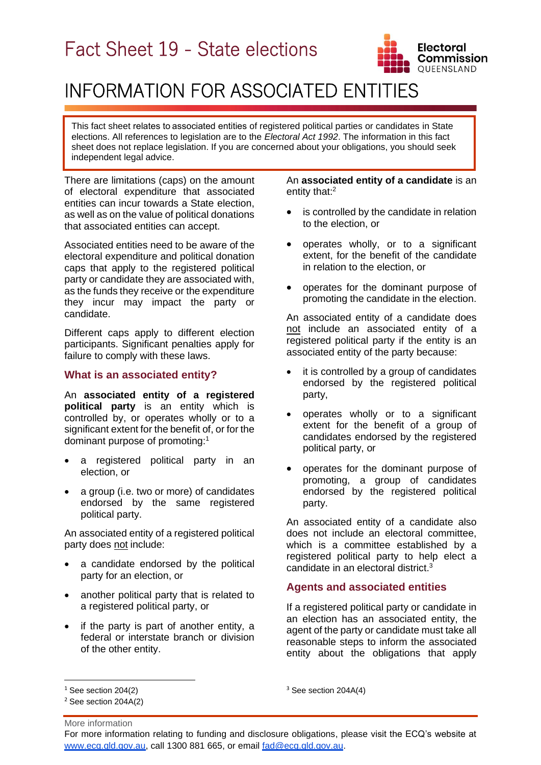# Fact Sheet 19 - State elections



## INFORMATION FOR ASSOCIATED ENTITIES

This fact sheet relates to associated entities of registered political parties or candidates in State elections. All references to legislation are to the *Electoral Act 1992*. The information in this fact sheet does not replace legislation. If you are concerned about your obligations, you should seek independent legal advice.

There are limitations (caps) on the amount of electoral expenditure that associated entities can incur towards a State election, as well as on the value of political donations that associated entities can accept.

Associated entities need to be aware of the electoral expenditure and political donation caps that apply to the registered political party or candidate they are associated with, as the funds they receive or the expenditure they incur may impact the party or candidate.

Different caps apply to different election participants. Significant penalties apply for failure to comply with these laws.

#### **What is an associated entity?**

An **associated entity of a registered political party** is an entity which is controlled by, or operates wholly or to a significant extent for the benefit of, or for the dominant purpose of promoting:<sup>1</sup>

- a registered political party in an election, or
- a group (i.e. two or more) of candidates endorsed by the same registered political party.

An associated entity of a registered political party does not include:

- a candidate endorsed by the political party for an election, or
- another political party that is related to a registered political party, or
- if the party is part of another entity, a federal or interstate branch or division of the other entity.

An **associated entity of a candidate** is an entity that:<sup>2</sup>

- is controlled by the candidate in relation to the election, or
- operates wholly, or to a significant extent, for the benefit of the candidate in relation to the election, or
- operates for the dominant purpose of promoting the candidate in the election.

An associated entity of a candidate does not include an associated entity of a registered political party if the entity is an associated entity of the party because:

- it is controlled by a group of candidates endorsed by the registered political party,
- operates wholly or to a significant extent for the benefit of a group of candidates endorsed by the registered political party, or
- operates for the dominant purpose of promoting, a group of candidates endorsed by the registered political party.

An associated entity of a candidate also does not include an electoral committee, which is a committee established by a registered political party to help elect a candidate in an electoral district.<sup>3</sup>

### **Agents and associated entities**

If a registered political party or candidate in an election has an associated entity, the agent of the party or candidate must take all reasonable steps to inform the associated entity about the obligations that apply

More information

 $3$  See section 204A(4)

 $1$  See section 204(2)

<sup>2</sup> See section 204A(2)

For more information relating to funding and disclosure obligations, please visit the ECQ's website at [www.ecq.qld.gov.au,](http://www.ecq.qld.gov.au/) call 1300 881 665, or email [fad@ecq.qld.gov.au.](mailto:fad@ecq.qld.gov.au)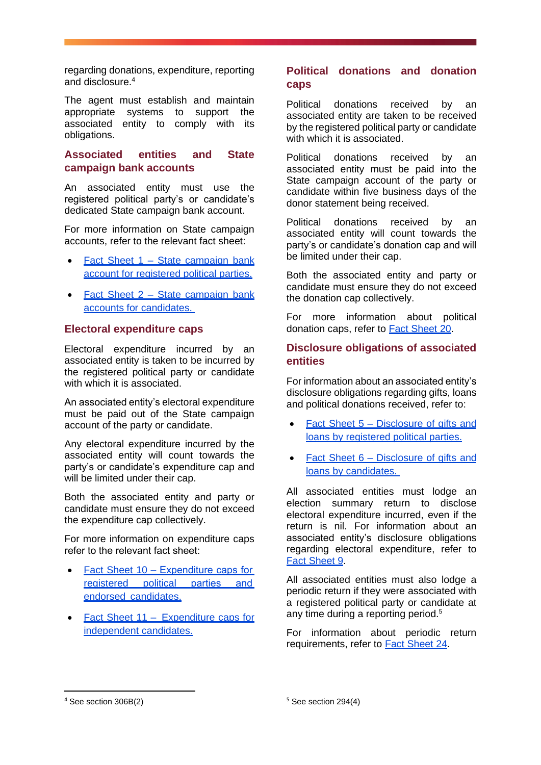regarding donations, expenditure, reporting and disclosure.<sup>4</sup>

The agent must establish and maintain appropriate systems to support the associated entity to comply with its obligations.

### **Associated entities and State campaign bank accounts**

An associated entity must use the registered political party's or candidate's dedicated State campaign bank account.

For more information on State campaign accounts, refer to the relevant fact sheet:

- Fact Sheet 1 State campaign bank [account for registered political parties.](https://www.ecq.qld.gov.au/election-participants/handbooks,-fact-sheets-and-forms)
- Fact Sheet  $2$  State campaign bank [accounts for candidates.](https://www.ecq.qld.gov.au/election-participants/handbooks,-fact-sheets-and-forms)

#### **Electoral expenditure caps**

Electoral expenditure incurred by an associated entity is taken to be incurred by the registered political party or candidate with which it is associated.

An associated entity's electoral expenditure must be paid out of the State campaign account of the party or candidate.

Any electoral expenditure incurred by the associated entity will count towards the party's or candidate's expenditure cap and will be limited under their cap.

Both the associated entity and party or candidate must ensure they do not exceed the expenditure cap collectively.

For more information on expenditure caps refer to the relevant fact sheet:  

- Fact Sheet 10 Expenditure caps for [registered political](https://www.ecq.qld.gov.au/election-participants/handbooks,-fact-sheets-and-forms) parties and  endorsed [candidates.](https://www.ecq.qld.gov.au/election-participants/handbooks,-fact-sheets-and-forms)
- Fact Sheet 11 [Expenditure caps for](https://www.ecq.qld.gov.au/election-participants/handbooks,-fact-sheets-and-forms)  [independent candidates.](https://www.ecq.qld.gov.au/election-participants/handbooks,-fact-sheets-and-forms)

## **Political donations and donation caps**

Political donations received by an associated entity are taken to be received by the registered political party or candidate with which it is associated.

Political donations received by an associated entity must be paid into the State campaign account of the party or candidate within five business days of the donor statement being received.

Political donations received by an associated entity will count towards the party's or candidate's donation cap and will be limited under their cap.

Both the associated entity and party or candidate must ensure they do not exceed the donation cap collectively.

For more information about political donation caps, refer to [Fact Sheet 20.](https://www.ecq.qld.gov.au/election-participants/handbooks,-fact-sheets-and-forms)

#### **Disclosure obligations of associated entities**

For information about an associated entity's disclosure obligations regarding gifts, loans and political donations received, refer to:

- Fact Sheet 5 Disclosure of gifts and [loans by registered political parties.](https://www.ecq.qld.gov.au/election-participants/handbooks,-fact-sheets-and-forms)
- Fact Sheet 6 [Disclosure of gifts and](https://www.ecq.qld.gov.au/election-participants/handbooks,-fact-sheets-and-forms)  loans by [candidates.](https://www.ecq.qld.gov.au/election-participants/handbooks,-fact-sheets-and-forms)

All associated entities must lodge an election summary return to disclose electoral expenditure incurred, even if the return is nil. For information about an associated entity's disclosure obligations regarding electoral expenditure, refer to [Fact Sheet](https://www.ecq.qld.gov.au/election-participants/handbooks,-fact-sheets-and-forms) 9.

All associated entities must also lodge a periodic return if they were associated with a registered political party or candidate at any time during a reporting period.<sup>5</sup>

For information about periodic return requirements, refer to [Fact Sheet 24](https://www.ecq.qld.gov.au/election-participants/handbooks,-fact-sheets-and-forms).

<sup>4</sup> See section 306B(2)

 $5$  See section 294(4)